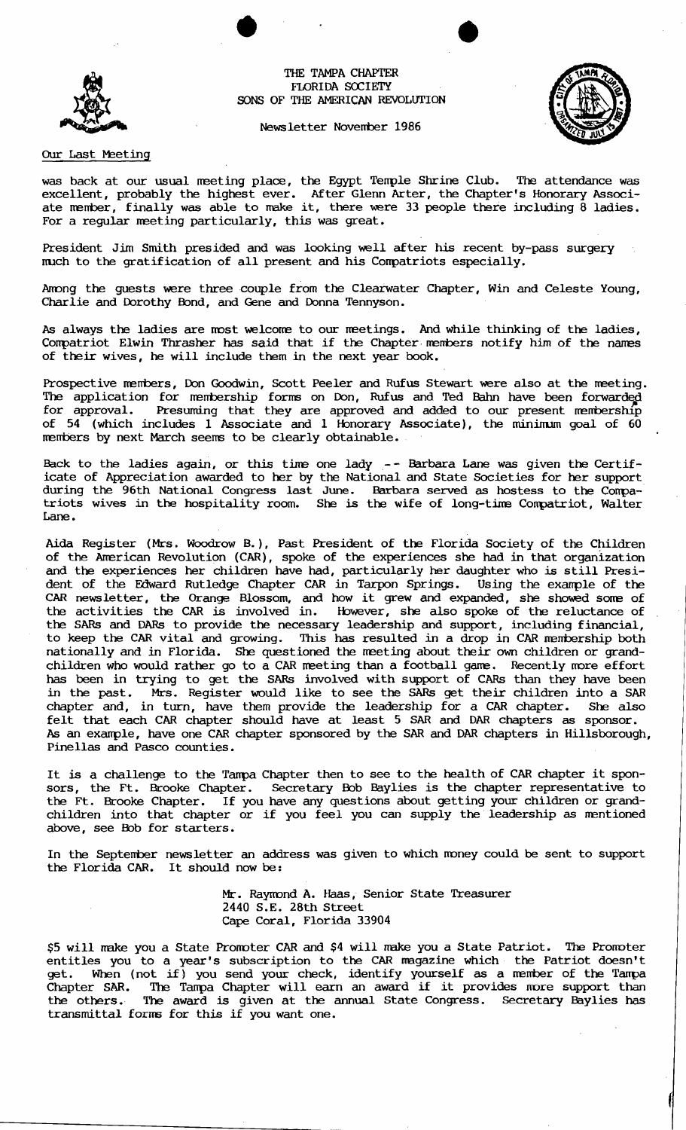## THE TAMPA CHAPTER FLORIDA SOCIETY SONS OF THE AMERICAN REVOLUTION

Newsletter November 1986



## Our Last Meeting

was back at our usual meeting place, the Egypt Temple Shrine Club. The attendance was excellent, probably the highest ever. After Glenn Arter, the Chapter's Honorary Associate member, finally was able to make it, there were 33 people there including 8 ladies. For a regular meeting particularly, this was great.

President Jim Smith presided and was looking well after his recent by-pass surgery nuch to the gratification of all present and his Conpatriots especially.

Among the guests were three couple from the Clearwater Chapter, Win and Celeste Young, Charlie and Dorothy Bond, and Gene and Donna Tennyson.

As always the ladies are most welcome to our meetings. And while thinking of the ladies, Compatriot Elwin Thrasher has said that if the Chapter members notify him of the names of their wives, he will include them in the next year book.

Prospective members, Don Goodwin, Scott Peeler and Rufus Stewart were also at the meeting. The application for membership forms on Don, Rufus and Ted Bahn have been forwarded<br>for approval. Presuming that they are approved and added to our present membership Fresuming that they are approved and added to our present membership of 54 (which includes 1 Associate and 1 Honorary Associate), the minimum goal of 60 members by next March seems to be clearly obtainable.

Back to the ladies again, or this tine one lady-- Barbara Lane was given the Certificate of Appreciation awarded to her by the National and State Societies for her support during the 96th National Congress last June. Barbara served as hostess to the Conpatriots wives in the hospitality room. She is the wife of long-time Compatriot, Walter Lane.

Aida Register (Mrs. Woodrow B.), Past President of the Florida Society of the Children of the American Revolution (CAR), spoke of the experiences she had in that organization and the experiences her children have had, particularly her daughter who is still President of the Edward Rutledge Chapter CAR in Tarpon Springs. Using the exanple of the CAR newsletter, the Orange Blossom, and how it grew and expanded, she showed sorre of the activities the CAR is involved in. However, she also spoke of the reluctance of the SARs and OARs to provide the necessary leadership and support, including financial, to keep the CAR vital and growing. This has resulted in a drop in CAR membership both nationally and in Florida. She questioned the meeting about their own children or grandchildren who would rather go to a CAR meeting than a football game. Recently more effort has been in trying to get the SARs involved with support of CARs than they have been in the past. Mrs. Register would like to see the SARs get their children into a SAR chapter and, in turn, have them provide the leadership for a CAR chapter. She also felt that each CAR chapter should have at least 5 SAR and DAR chapters as sponsor. As an exanple, have one CAR chapter sponsored by the SAR and DAR chapters in Hillsborough, Pinellas and Pasco counties.

It is a challenge to the Tanpa Chapter then to see to the health of CAR chapter it sponsors, the Ft. Brooke Chapter. Secretary Bob Baylies is the chapter representative to the Ft. Brooke Chapter. If you have any questions about getting your children or grandchildren into that chapter or if you feel you can supply the leadership as mentioned above, see Bob for starters.

In the September newsletter an address was given to which money could be sent to support the Florida CAR. It should now be:

> Mr. Raymond A. Haas, Senior State Treasurer 2440 S.E. 28th Street Cape Coral, Florida 33904

\$5 will make you a State Promoter CAR and \$4 will make you a State Patriot. The Promoter entitles you to a year's subscription to the CAR magazine which the Patriot doesn't get. When (not if) you send your check, identify yourself as a member of the Tampa Chapter SAR. The Tanpa Chapter will earn an award if it provides more support than the others. The award is given at the annual State Congress. Secretary Baylies has the others. The award is given at the  $\alpha$  transmittal forms for this if you want one.